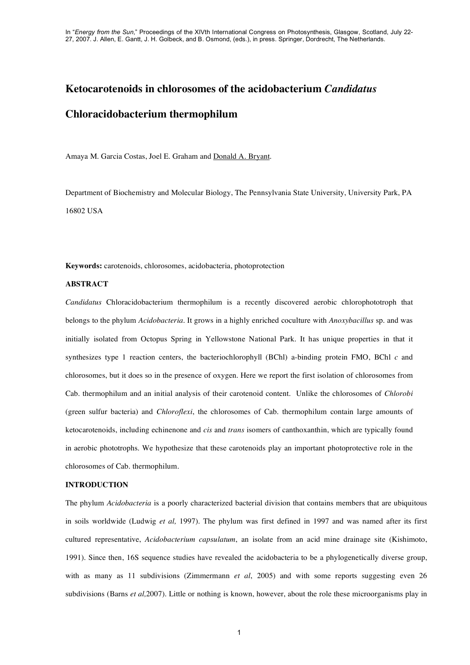# **Ketocarotenoids in chlorosomes of the acidobacterium** *Candidatus* **Chloracidobacterium thermophilum**

Amaya M. Garcia Costas, Joel E. Graham and Donald A. Bryant.

Department of Biochemistry and Molecular Biology, The Pennsylvania State University, University Park, PA 16802 USA

**Keywords:** carotenoids, chlorosomes, acidobacteria, photoprotection

## **ABSTRACT**

*Candidatus* Chloracidobacterium thermophilum is a recently discovered aerobic chlorophototroph that belongs to the phylum *Acidobacteria*. It grows in a highly enriched coculture with *Anoxybacillus* sp. and was initially isolated from Octopus Spring in Yellowstone National Park. It has unique properties in that it synthesizes type 1 reaction centers, the bacteriochlorophyll (BChl) a-binding protein FMO, BChl *c* and chlorosomes, but it does so in the presence of oxygen. Here we report the first isolation of chlorosomes from Cab. thermophilum and an initial analysis of their carotenoid content. Unlike the chlorosomes of *Chlorobi* (green sulfur bacteria) and *Chloroflexi*, the chlorosomes of Cab. thermophilum contain large amounts of ketocarotenoids, including echinenone and *cis* and *trans* isomers of canthoxanthin, which are typically found in aerobic phototrophs. We hypothesize that these carotenoids play an important photoprotective role in the chlorosomes of Cab. thermophilum*.*

## **INTRODUCTION**

The phylum *Acidobacteria* is a poorly characterized bacterial division that contains members that are ubiquitous in soils worldwide (Ludwig *et al,* 1997). The phylum was first defined in 1997 and was named after its first cultured representative, *Acidobacterium capsulatum*, an isolate from an acid mine drainage site (Kishimoto, 1991). Since then, 16S sequence studies have revealed the acidobacteria to be a phylogenetically diverse group, with as many as 11 subdivisions (Zimmermann *et al*, 2005) and with some reports suggesting even 26 subdivisions (Barns *et al,*2007). Little or nothing is known, however, about the role these microorganisms play in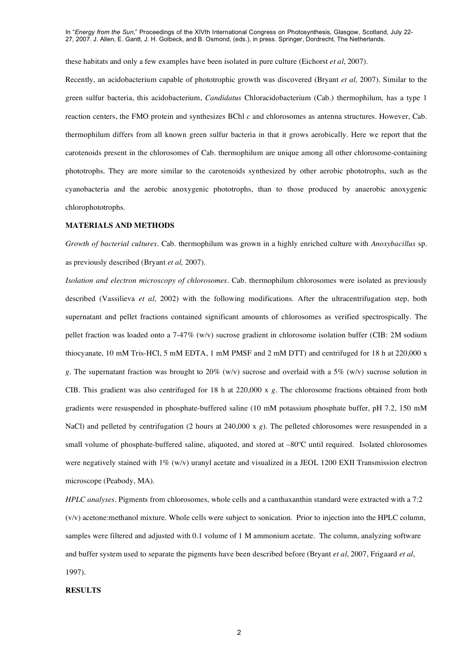these habitats and only a few examples have been isolated in pure culture (Eichorst *et al*, 2007).

Recently, an acidobacterium capable of phototrophic growth was discovered (Bryant *et al,* 2007). Similar to the green sulfur bacteria, this acidobacterium, *Candidatus* Chloracidobacterium (Cab.) thermophilum*,* has a type 1 reaction centers, the FMO protein and synthesizes BChl *c* and chlorosomes as antenna structures. However, Cab. thermophilum differs from all known green sulfur bacteria in that it grows aerobically. Here we report that the carotenoids present in the chlorosomes of Cab. thermophilum are unique among all other chlorosome-containing phototrophs. They are more similar to the carotenoids synthesized by other aerobic phototrophs, such as the cyanobacteria and the aerobic anoxygenic phototrophs, than to those produced by anaerobic anoxygenic chlorophototrophs.

#### **MATERIALS AND METHODS**

*Growth of bacterial cultures.* Cab. thermophilum was grown in a highly enriched culture with *Anoxybacillus* sp. as previously described (Bryant *et al,* 2007).

*Isolation and electron microscopy of chlorosomes.* Cab. thermophilum chlorosomes were isolated as previously described (Vassilieva *et al,* 2002) with the following modifications. After the ultracentrifugation step, both supernatant and pellet fractions contained significant amounts of chlorosomes as verified spectrospically. The pellet fraction was loaded onto a 7-47% (w/v) sucrose gradient in chlorosome isolation buffer (CIB: 2M sodium thiocyanate, 10 mM Tris-HCl, 5 mM EDTA, 1 mM PMSF and 2 mM DTT) and centrifuged for 18 h at 220,000 x *g*. The supernatant fraction was brought to 20% (w/v) sucrose and overlaid with a 5% (w/v) sucrose solution in CIB. This gradient was also centrifuged for 18 h at 220,000 x *g*. The chlorosome fractions obtained from both gradients were resuspended in phosphate-buffered saline (10 mM potassium phosphate buffer, pH 7.2, 150 mM NaCl) and pelleted by centrifugation (2 hours at 240,000 x *g*). The pelleted chlorosomes were resuspended in a small volume of phosphate-buffered saline, aliquoted, and stored at -80°C until required. Isolated chlorosomes were negatively stained with  $1\%$  (w/v) uranyl acetate and visualized in a JEOL 1200 EXII Transmission electron microscope (Peabody, MA).

*HPLC analyses.* Pigments from chlorosomes, whole cells and a canthaxanthin standard were extracted with a 7:2 (v/v) acetone:methanol mixture. Whole cells were subject to sonication. Prior to injection into the HPLC column, samples were filtered and adjusted with 0.1 volume of 1 M ammonium acetate. The column, analyzing software and buffer system used to separate the pigments have been described before (Bryant *et al*, 2007, Frigaard *et al*, 1997).

## **RESULTS**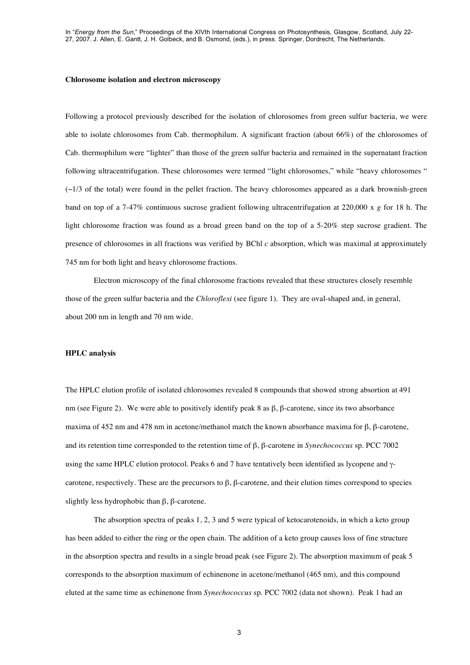#### **Chlorosome isolation and electron microscopy**

Following a protocol previously described for the isolation of chlorosomes from green sulfur bacteria, we were able to isolate chlorosomes from Cab. thermophilum. A significant fraction (about 66%) of the chlorosomes of Cab. thermophilum were "lighter" than those of the green sulfur bacteria and remained in the supernatant fraction following ultracentrifugation. These chlorosomes were termed "light chlorosomes," while "heavy chlorosomes "  $(\sim 1/3)$  of the total) were found in the pellet fraction. The heavy chlorosomes appeared as a dark brownish-green band on top of a 7-47% continuous sucrose gradient following ultracentrifugation at 220,000 x *g* for 18 h. The light chlorosome fraction was found as a broad green band on the top of a 5-20% step sucrose gradient. The presence of chlorosomes in all fractions was verified by BChl *c* absorption, which was maximal at approximately 745 nm for both light and heavy chlorosome fractions.

Electron microscopy of the final chlorosome fractions revealed that these structures closely resemble those of the green sulfur bacteria and the *Chloroflexi* (see figure 1). They are oval-shaped and, in general, about 200 nm in length and 70 nm wide.

#### **HPLC analysis**

The HPLC elution profile of isolated chlorosomes revealed 8 compounds that showed strong absortion at 491 nm (see Figure 2). We were able to positively identify peak 8 as β, β-carotene, since its two absorbance maxima of 452 nm and 478 nm in acetone/methanol match the known absorbance maxima for β, β-carotene, and its retention time corresponded to the retention time of β, β-carotene in *Synechococcus* sp. PCC 7002 using the same HPLC elution protocol. Peaks 6 and 7 have tentatively been identified as lycopene and γcarotene, respectively. These are the precursors to β, β-carotene, and their elution times correspond to species slightly less hydrophobic than β, β-carotene.

The absorption spectra of peaks 1, 2, 3 and 5 were typical of ketocarotenoids, in which a keto group has been added to either the ring or the open chain. The addition of a keto group causes loss of fine structure in the absorption spectra and results in a single broad peak (see Figure 2). The absorption maximum of peak 5 corresponds to the absorption maximum of echinenone in acetone/methanol (465 nm), and this compound eluted at the same time as echinenone from *Synechococcus* sp. PCC 7002 (data not shown). Peak 1 had an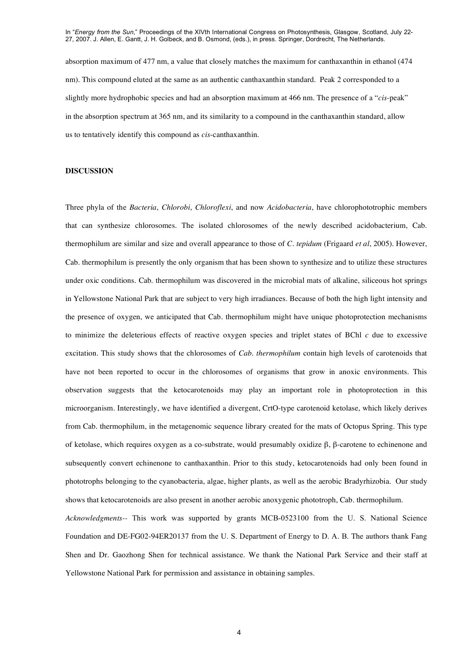absorption maximum of 477 nm, a value that closely matches the maximum for canthaxanthin in ethanol (474 nm). This compound eluted at the same as an authentic canthaxanthin standard. Peak 2 corresponded to a slightly more hydrophobic species and had an absorption maximum at 466 nm. The presence of a "*cis*-peak" in the absorption spectrum at 365 nm, and its similarity to a compound in the canthaxanthin standard, allow us to tentatively identify this compound as *cis*-canthaxanthin.

## **DISCUSSION**

Three phyla of the *Bacteria*, *Chlorobi*, *Chloroflexi*, and now *Acidobacteria*, have chlorophototrophic members that can synthesize chlorosomes. The isolated chlorosomes of the newly described acidobacterium, Cab. thermophilum are similar and size and overall appearance to those of *C. tepidum* (Frigaard *et al*, 2005). However, Cab. thermophilum is presently the only organism that has been shown to synthesize and to utilize these structures under oxic conditions. Cab. thermophilum was discovered in the microbial mats of alkaline, siliceous hot springs in Yellowstone National Park that are subject to very high irradiances. Because of both the high light intensity and the presence of oxygen, we anticipated that Cab. thermophilum might have unique photoprotection mechanisms to minimize the deleterious effects of reactive oxygen species and triplet states of BChl *c* due to excessive excitation. This study shows that the chlorosomes of *Cab. thermophilum* contain high levels of carotenoids that have not been reported to occur in the chlorosomes of organisms that grow in anoxic environments. This observation suggests that the ketocarotenoids may play an important role in photoprotection in this microorganism. Interestingly, we have identified a divergent, CrtO-type carotenoid ketolase, which likely derives from Cab. thermophilum, in the metagenomic sequence library created for the mats of Octopus Spring. This type of ketolase, which requires oxygen as a co-substrate, would presumably oxidize β, β-carotene to echinenone and subsequently convert echinenone to canthaxanthin. Prior to this study, ketocarotenoids had only been found in phototrophs belonging to the cyanobacteria, algae, higher plants, as well as the aerobic Bradyrhizobia. Our study shows that ketocarotenoids are also present in another aerobic anoxygenic phototroph, Cab. thermophilum.

*Acknowledgments--* This work was supported by grants MCB-0523100 from the U. S. National Science Foundation and DE-FG02-94ER20137 from the U. S. Department of Energy to D. A. B. The authors thank Fang Shen and Dr. Gaozhong Shen for technical assistance. We thank the National Park Service and their staff at Yellowstone National Park for permission and assistance in obtaining samples.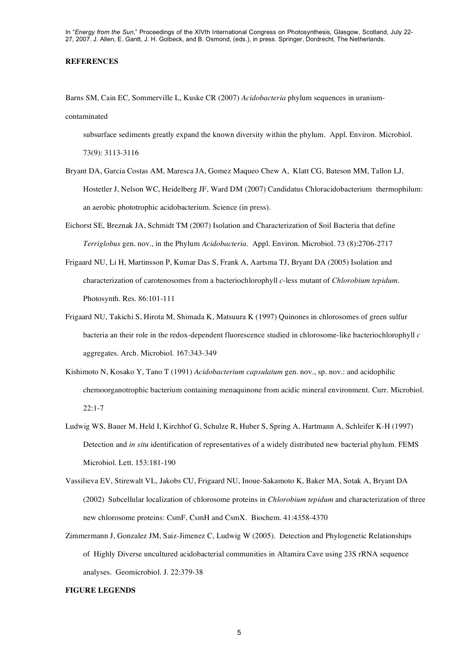## **REFERENCES**

Barns SM, Cain EC, Sommerville L, Kuske CR (2007) *Acidobacteria* phylum sequences in uraniumcontaminated

subsurface sediments greatly expand the known diversity within the phylum. Appl. Environ. Microbiol. 73(9): 3113-3116

- Bryant DA, Garcia Costas AM, Maresca JA, Gomez Maqueo Chew A, Klatt CG, Bateson MM, Tallon LJ, Hostetler J, Nelson WC, Heidelberg JF, Ward DM (2007) Candidatus Chloracidobacterium thermophilum: an aerobic phototrophic acidobacterium. Science (in press).
- Eichorst SE, Breznak JA, Schmidt TM (2007) Isolation and Characterization of Soil Bacteria that define *Terriglobus* gen. nov., in the Phylum *Acidobacteria*. Appl. Environ. Microbiol. 73 (8):2706-2717
- Frigaard NU, Li H, Martinsson P, Kumar Das S, Frank A, Aartsma TJ, Bryant DA (2005) Isolation and characterization of carotenosomes from a bacteriochlorophyll *c-*less mutant of *Chlorobium tepidum.* Photosynth. Res. 86:101-111
- Frigaard NU, Takichi S, Hirota M, Shimada K, Matsuura K (1997) Quinones in chlorosomes of green sulfur bacteria an their role in the redox-dependent fluorescence studied in chlorosome-like bacteriochlorophyll *c* aggregates. Arch. Microbiol. 167:343-349
- Kishimoto N, Kosako Y, Tano T (1991) *Acidobacterium capsulatum* gen. nov., sp. nov.: and acidophilic chemoorganotrophic bacterium containing menaquinone from acidic mineral environment. Curr. Microbiol. 22:1-7
- Ludwig WS, Bauer M, Held I, Kirchhof G, Schulze R, Huber S, Spring A, Hartmann A, Schleifer K-H (1997) Detection and *in situ* identification of representatives of a widely distributed new bacterial phylum. FEMS Microbiol. Lett. 153:181-190
- Vassilieva EV, Stirewalt VL, Jakobs CU, Frigaard NU, Inoue-Sakamoto K, Baker MA, Sotak A, Bryant DA (2002) Subcellular localization of chlorosome proteins in *Chlorobium tepidum* and characterization of three new chlorosome proteins: CsmF, CsmH and CsmX. Biochem. 41:4358-4370
- Zimmermann J, Gonzalez JM, Saiz-Jimenez C, Ludwig W (2005). Detection and Phylogenetic Relationships of Highly Diverse uncultured acidobacterial communities in Altamira Cave using 23S rRNA sequence analyses. Geomicrobiol. J. 22:379-38

## **FIGURE LEGENDS**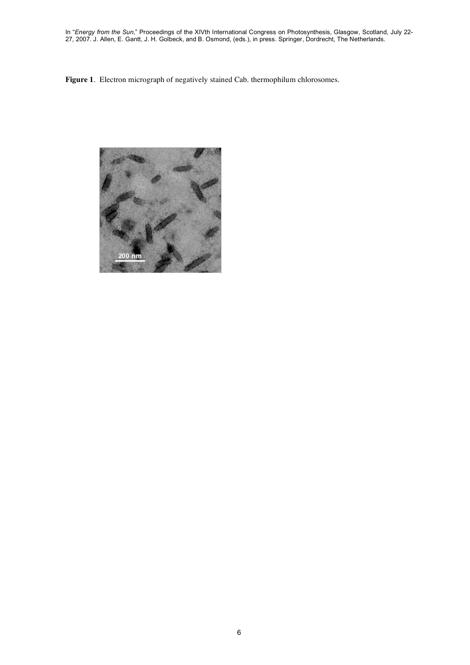**Figure 1**. Electron micrograph of negatively stained Cab. thermophilum chlorosomes.